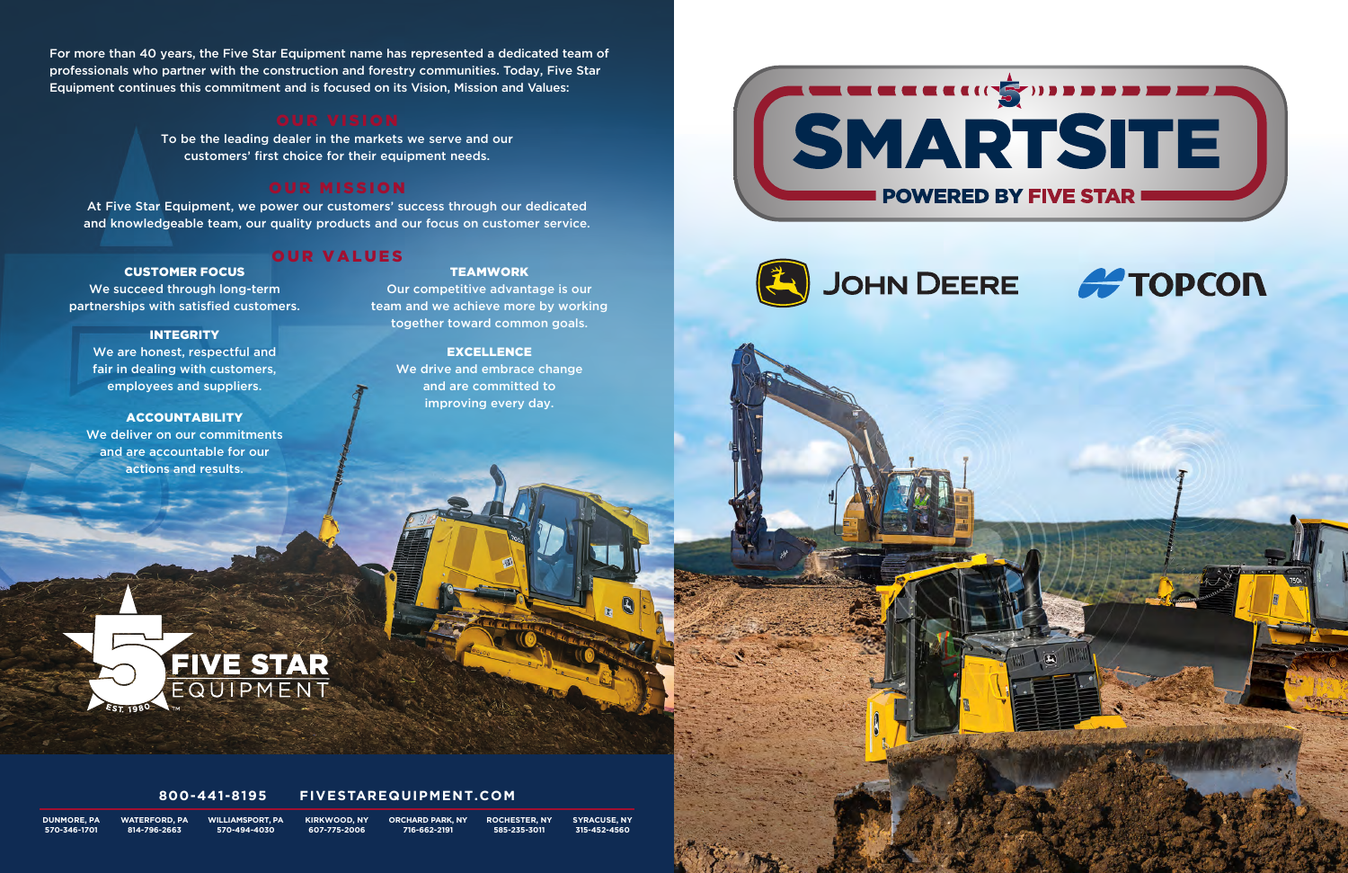For more than 40 years, the Five Star Equipment name has represented a dedicated team of professionals who partner with the construction and forestry communities. Today, Five Star Equipment continues this commitment and is focused on its Vision, Mission and Values:

To be the leading dealer in the markets we serve and our customers' first choice for their equipment needs.

### OUR MISSION

At Five Star Equipment, we power our customers' success through our dedicated and knowledgeable team, our quality products and our focus on customer service.

### OUR VALUES

#### **TEAMWORK**

CUSTOMER FOCUS

#### **INTEGRITY**

We succeed through long-term partnerships with satisfied customers.

We are honest, respectful and fair in dealing with customers, employees and suppliers.

#### ACCOUNTABILITY

We deliver on our commitments and are accountable for our actions and results.

Our competitive advantage is our team and we achieve more by working together toward common goals.

#### EXCELLENCE

We drive and embrace change and are committed to improving every day.





**DUNMORE, PA 570-346-1701** **WATERFORD, PA 814-796-2663**

**WILLIAMSPORT, PA 570-494-4030**

**KIRKWOOD, NY 607-775-2006 ORCHARD PARK, NY 716-662-2191**

**ROCHESTER, NY 585-235-3011**

**SYRACUSE, NY 315-452-4560**

# JOHN DEERE **& TOPCON**





FIVE STAR